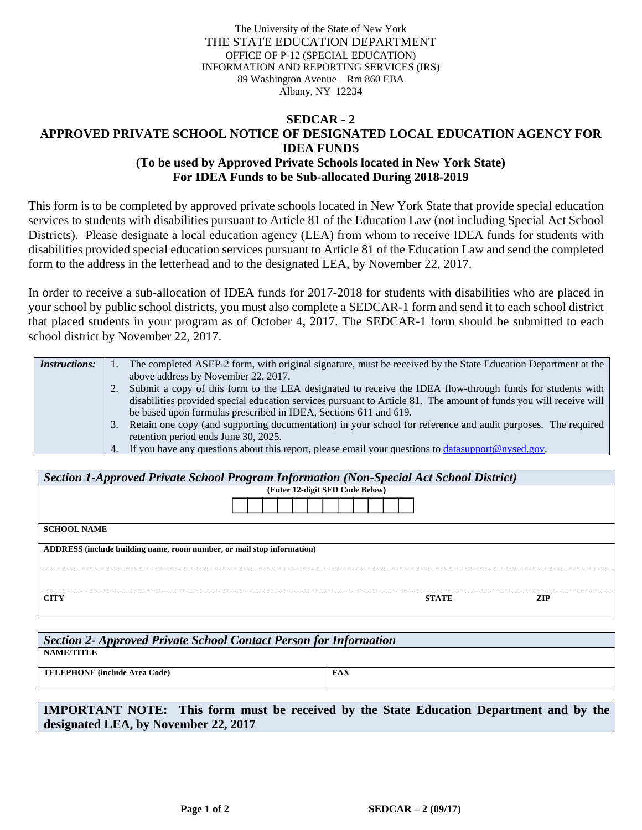The University of the State of New York THE STATE EDUCATION DEPARTMENT OFFICE OF P-12 (SPECIAL EDUCATION) INFORMATION AND REPORTING SERVICES (IRS) 89 Washington Avenue – Rm 860 EBA Albany, NY 12234

## **SEDCAR - 2 APPROVED PRIVATE SCHOOL NOTICE OF DESIGNATED LOCAL EDUCATION AGENCY FOR IDEA FUNDS (To be used by Approved Private Schools located in New York State) For IDEA Funds to be Sub-allocated During 2018-2019**

This form is to be completed by approved private schools located in New York State that provide special education services to students with disabilities pursuant to Article 81 of the Education Law (not including Special Act School Districts). Please designate a local education agency (LEA) from whom to receive IDEA funds for students with disabilities provided special education services pursuant to Article 81 of the Education Law and send the completed form to the address in the letterhead and to the designated LEA, by November 22, 2017.

In order to receive a sub-allocation of IDEA funds for 2017-2018 for students with disabilities who are placed in your school by public school districts, you must also complete a SEDCAR-1 form and send it to each school district that placed students in your program as of October 4, 2017. The SEDCAR-1 form should be submitted to each school district by November 22, 2017.

| <i>Instructions:</i> | The completed ASEP-2 form, with original signature, must be received by the State Education Department at the      |
|----------------------|--------------------------------------------------------------------------------------------------------------------|
|                      | above address by November 22, 2017.                                                                                |
|                      | Submit a copy of this form to the LEA designated to receive the IDEA flow-through funds for students with          |
|                      | disabilities provided special education services pursuant to Article 81. The amount of funds you will receive will |
|                      | be based upon formulas prescribed in IDEA, Sections 611 and 619.                                                   |
|                      | Retain one copy (and supporting documentation) in your school for reference and audit purposes. The required       |
|                      | retention period ends June 30, 2025.                                                                               |
|                      | 4. If you have any questions about this report, please email your questions to <b>datasupport</b> @nysed.gov.      |

| Section 1-Approved Private School Program Information (Non-Special Act School District) |              |            |  |  |  |  |  |  |
|-----------------------------------------------------------------------------------------|--------------|------------|--|--|--|--|--|--|
| (Enter 12-digit SED Code Below)                                                         |              |            |  |  |  |  |  |  |
|                                                                                         |              |            |  |  |  |  |  |  |
| <b>SCHOOL NAME</b>                                                                      |              |            |  |  |  |  |  |  |
| ADDRESS (include building name, room number, or mail stop information)                  |              |            |  |  |  |  |  |  |
|                                                                                         |              |            |  |  |  |  |  |  |
| <b>CITY</b>                                                                             | <b>STATE</b> | <b>ZIP</b> |  |  |  |  |  |  |

| Section 2- Approved Private School Contact Person for Information |            |  |  |  |  |  |
|-------------------------------------------------------------------|------------|--|--|--|--|--|
| NAME/TITLE                                                        |            |  |  |  |  |  |
| <b>TELEPHONE</b> (include Area Code)                              | <b>FAX</b> |  |  |  |  |  |
|                                                                   |            |  |  |  |  |  |

**IMPORTANT NOTE: This form must be received by the State Education Department and by the designated LEA, by November 22, 2017**